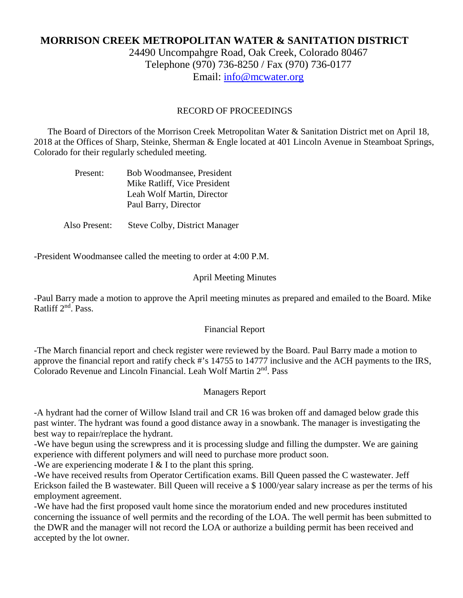# **MORRISON CREEK METROPOLITAN WATER & SANITATION DISTRICT**

24490 Uncompahgre Road, Oak Creek, Colorado 80467 Telephone (970) 736-8250 / Fax (970) 736-0177 Email: [info@mcwater.org](mailto:info@mcwater.org)

#### RECORD OF PROCEEDINGS

 The Board of Directors of the Morrison Creek Metropolitan Water & Sanitation District met on April 18, 2018 at the Offices of Sharp, Steinke, Sherman & Engle located at 401 Lincoln Avenue in Steamboat Springs, Colorado for their regularly scheduled meeting.

| Present: | Bob Woodmansee, President    |
|----------|------------------------------|
|          | Mike Ratliff, Vice President |
|          | Leah Wolf Martin, Director   |
|          | Paul Barry, Director         |

Also Present: Steve Colby, District Manager

-President Woodmansee called the meeting to order at 4:00 P.M.

#### April Meeting Minutes

-Paul Barry made a motion to approve the April meeting minutes as prepared and emailed to the Board. Mike Ratliff 2nd. Pass.

#### Financial Report

-The March financial report and check register were reviewed by the Board. Paul Barry made a motion to approve the financial report and ratify check #'s 14755 to 14777 inclusive and the ACH payments to the IRS, Colorado Revenue and Lincoln Financial. Leah Wolf Martin 2nd. Pass

#### Managers Report

-A hydrant had the corner of Willow Island trail and CR 16 was broken off and damaged below grade this past winter. The hydrant was found a good distance away in a snowbank. The manager is investigating the best way to repair/replace the hydrant.

-We have begun using the screwpress and it is processing sludge and filling the dumpster. We are gaining experience with different polymers and will need to purchase more product soon.

-We are experiencing moderate I  $&$  I to the plant this spring.

-We have received results from Operator Certification exams. Bill Queen passed the C wastewater. Jeff Erickson failed the B wastewater. Bill Queen will receive a \$ 1000/year salary increase as per the terms of his employment agreement.

-We have had the first proposed vault home since the moratorium ended and new procedures instituted concerning the issuance of well permits and the recording of the LOA. The well permit has been submitted to the DWR and the manager will not record the LOA or authorize a building permit has been received and accepted by the lot owner.